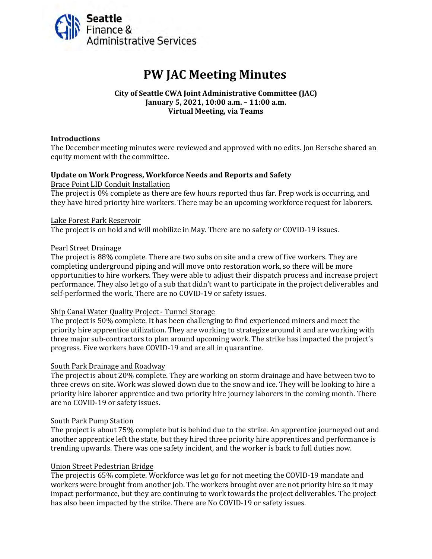

# **PW JAC Meeting Minutes**

# **City of Seattle CWA Joint Administrative Committee (JAC) January 5, 2021, 10:00 a.m. – 11:00 a.m. Virtual Meeting, via Teams**

## **Introductions**

The December meeting minutes were reviewed and approved with no edits. Jon Bersche shared an equity moment with the committee.

# **Update on Work Progress, Workforce Needs and Reports and Safety**

Brace Point LID Conduit Installation

The project is 0% complete as there are few hours reported thus far. Prep work is occurring, and they have hired priority hire workers. There may be an upcoming workforce request for laborers.

#### Lake Forest Park Reservoir

The project is on hold and will mobilize in May. There are no safety or COVID-19 issues.

#### Pearl Street Drainage

The project is 88% complete. There are two subs on site and a crew of five workers. They are completing underground piping and will move onto restoration work, so there will be more opportunities to hire workers. They were able to adjust their dispatch process and increase project performance. They also let go of a sub that didn't want to participate in the project deliverables and self-performed the work. There are no COVID-19 or safety issues.

#### Ship Canal Water Quality Project - Tunnel Storage

The project is 50% complete. It has been challenging to find experienced miners and meet the priority hire apprentice utilization. They are working to strategize around it and are working with three major sub-contractors to plan around upcoming work. The strike has impacted the project's progress. Five workers have COVID-19 and are all in quarantine.

#### South Park Drainage and Roadway

The project is about 20% complete. They are working on storm drainage and have between two to three crews on site. Work was slowed down due to the snow and ice. They will be looking to hire a priority hire laborer apprentice and two priority hire journey laborers in the coming month. There are no COVID-19 or safety issues.

#### South Park Pump Station

The project is about 75% complete but is behind due to the strike. An apprentice journeyed out and another apprentice left the state, but they hired three priority hire apprentices and performance is trending upwards. There was one safety incident, and the worker is back to full duties now.

# Union Street Pedestrian Bridge

The project is 65% complete. Workforce was let go for not meeting the COVID-19 mandate and workers were brought from another job. The workers brought over are not priority hire so it may impact performance, but they are continuing to work towards the project deliverables. The project has also been impacted by the strike. There are No COVID-19 or safety issues.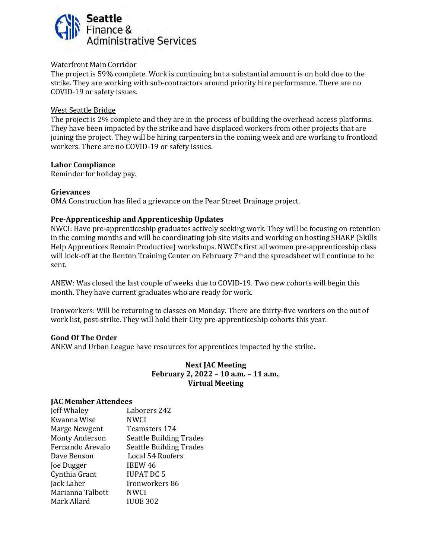

# Waterfront Main Corridor

The project is 59% complete. Work is continuing but a substantial amount is on hold due to the strike. They are working with sub-contractors around priority hire performance. There are no COVID-19 or safety issues.

#### West Seattle Bridge

The project is 2% complete and they are in the process of building the overhead access platforms. They have been impacted by the strike and have displaced workers from other projects that are joining the project. They will be hiring carpenters in the coming week and are working to frontload workers. There are no COVID-19 or safety issues.

#### **Labor Compliance**

Reminder for holiday pay.

# **Grievances**

OMA Construction has filed a grievance on the Pear Street Drainage project.

# **Pre-Apprenticeship and Apprenticeship Updates**

NWCI: Have pre-apprenticeship graduates actively seeking work. They will be focusing on retention in the coming months and will be coordinating job site visits and working on hosting SHARP (Skills Help Apprentices Remain Productive) workshops. NWCI's first all women pre-apprenticeship class will kick-off at the Renton Training Center on February 7<sup>th</sup> and the spreadsheet will continue to be sent.

ANEW: Was closed the last couple of weeks due to COVID-19. Two new cohorts will begin this month. They have current graduates who are ready for work.

Ironworkers: Will be returning to classes on Monday. There are thirty-five workers on the out of work list, post-strike. They will hold their City pre-apprenticeship cohorts this year.

# **Good Of The Order**

ANEW and Urban League have resources for apprentices impacted by the strike**.** 

# **Next JAC Meeting February 2, 2022 – 10 a.m. – 11 a.m.**, **Virtual Meeting**

#### **JAC Member Attendees**

| Jeff Whaley           | Laborers 242                   |
|-----------------------|--------------------------------|
| Kwanna Wise           | NWCI                           |
| Marge Newgent         | Teamsters 174                  |
| <b>Monty Anderson</b> | <b>Seattle Building Trades</b> |
| Fernando Arevalo      | <b>Seattle Building Trades</b> |
| Dave Benson           | Local 54 Roofers               |
| Joe Dugger            | IBEW 46                        |
| Cynthia Grant         | <b>IUPAT DC 5</b>              |
| Jack Laher            | Ironworkers 86                 |
| Marianna Talbott      | <b>NWCI</b>                    |
| Mark Allard           | <b>IUOE 302</b>                |
|                       |                                |